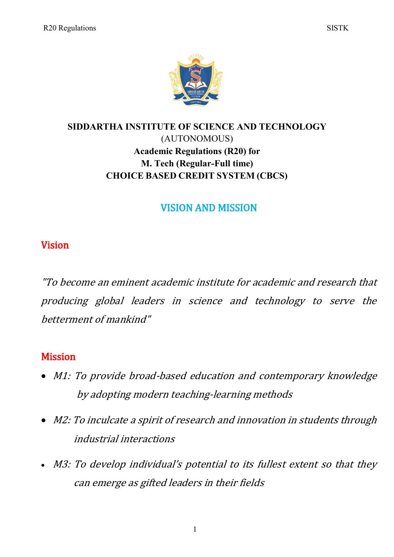

# **SIDDARTHA INSTITUTE OF SCIENCE AND TECHNOLOGY** (AUTONOMOUS) **Academic Regulations (R20) for M. Tech (Regular-Full time) CHOICE BASED CREDIT SYSTEM (CBCS)**

# VISION AND MISSION

# Vision

"To become an eminent academic institute for academic and research that producing global leaders in science and technology to serve the betterment of mankind"

# **Mission**

- M1: To provide broad-based education and contemporary knowledge by adopting modern teaching-learning methods
- M2: To inculcate a spirit of research and innovation in students through industrial interactions
- M3: To develop individual's potential to its fullest extent so that they can emerge as gifted leaders in their fields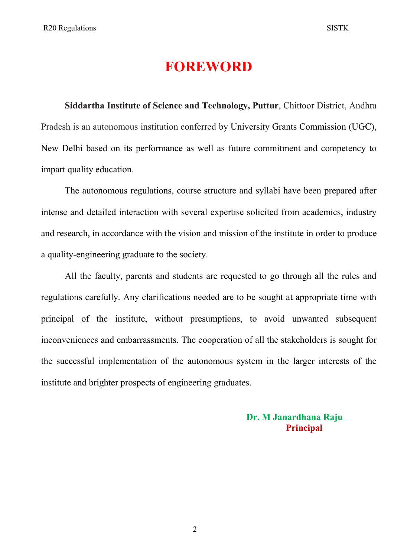# **FOREWORD**

**Siddartha Institute of Science and Technology, Puttur**, Chittoor District, Andhra Pradesh is an autonomous institution conferred by University Grants Commission (UGC), New Delhi based on its performance as well as future commitment and competency to impart quality education.

The autonomous regulations, course structure and syllabi have been prepared after intense and detailed interaction with several expertise solicited from academics, industry and research, in accordance with the vision and mission of the institute in order to produce a quality-engineering graduate to the society.

All the faculty, parents and students are requested to go through all the rules and regulations carefully. Any clarifications needed are to be sought at appropriate time with principal of the institute, without presumptions, to avoid unwanted subsequent inconveniences and embarrassments. The cooperation of all the stakeholders is sought for the successful implementation of the autonomous system in the larger interests of the institute and brighter prospects of engineering graduates.

> **Dr. M Janardhana Raju Principal**

2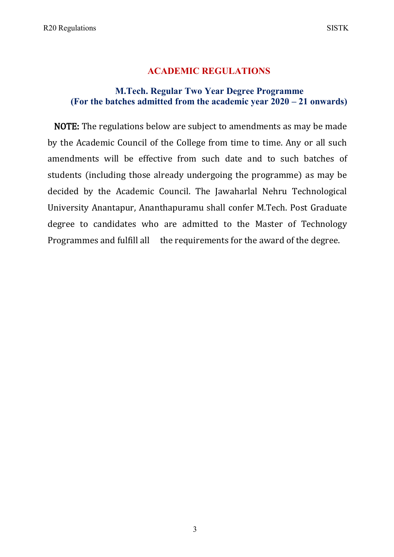## **ACADEMIC REGULATIONS**

## **M.Tech. Regular Two Year Degree Programme (For the batches admitted from the academic year 2020 – 21 onwards)**

NOTE: The regulations below are subject to amendments as may be made by the Academic Council of the College from time to time. Any or all such amendments will be effective from such date and to such batches of students (including those already undergoing the programme) as may be decided by the Academic Council. The Jawaharlal Nehru Technological University Anantapur, Ananthapuramu shall confer M.Tech. Post Graduate degree to candidates who are admitted to the Master of Technology Programmes and fulfill all the requirements for the award of the degree.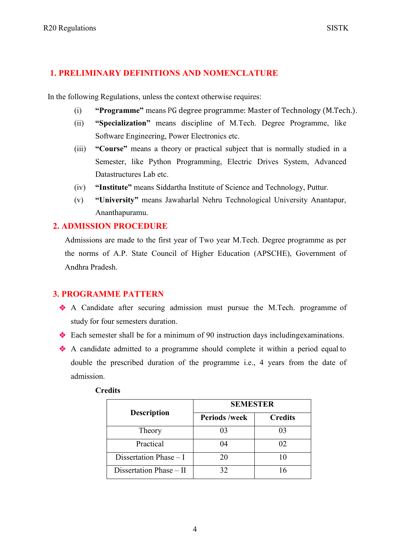### **1. PRELIMINARY DEFINITIONS AND NOMENCLATURE**

In the following Regulations, unless the context otherwise requires:

- (i) **"Programme"** means PG degree programme: Master of Technology (M.Tech.).
- (ii) **"Specialization"** means discipline of M.Tech. Degree Programme, like Software Engineering, Power Electronics etc.
- (iii) **"Course"** means a theory or practical subject that is normally studied in a Semester, like Python Programming, Electric Drives System, Advanced Datastructures Lab etc.
- (iv) **"Institute"** means Siddartha Institute of Science and Technology, Puttur.
- (v) **"University"** means Jawaharlal Nehru Technological University Anantapur, Ananthapuramu.

## **2. ADMISSION PROCEDURE**

Admissions are made to the first year of Two year M.Tech. Degree programme as per the norms of A.P. State Council of Higher Education (APSCHE), Government of Andhra Pradesh.

### **3. PROGRAMME PATTERN**

- A Candidate after securing admission must pursue the M.Tech. programme of study for four semesters duration.
- Each semester shall be for a minimum of 90 instruction days includingexaminations.
- A candidate admitted to a programme should complete it within a period equal to double the prescribed duration of the programme i.e., 4 years from the date of admission.

|                          | <b>SEMESTER</b>      |                |  |
|--------------------------|----------------------|----------------|--|
| <b>Description</b>       | <b>Periods /week</b> | <b>Credits</b> |  |
| Theory                   | 03                   | 03             |  |
| Practical                | 04                   | 02             |  |
| Dissertation Phase $- I$ | 20                   |                |  |
| Dissertation Phase - II  | 32                   | 16             |  |

#### **Credits**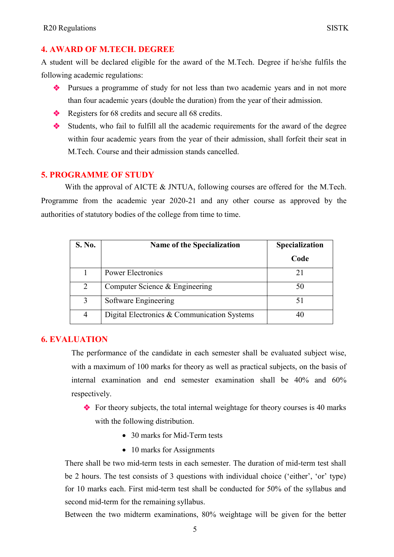#### **4. AWARD OF M.TECH. DEGREE**

A student will be declared eligible for the award of the M.Tech. Degree if he/she fulfils the following academic regulations:

- Pursues a programme of study for not less than two academic years and in not more than four academic years (double the duration) from the year of their admission.
- Registers for 68 credits and secure all 68 credits.
- Students, who fail to fulfill all the academic requirements for the award of the degree within four academic years from the year of their admission, shall forfeit their seat in M.Tech. Course and their admission stands cancelled.

#### **5. PROGRAMME OF STUDY**

With the approval of AICTE & JNTUA, following courses are offered for the M.Tech. Programme from the academic year 2020-21 and any other course as approved by the authorities of statutory bodies of the college from time to time.

| S. No. | <b>Name of the Specialization</b>           | Specialization |
|--------|---------------------------------------------|----------------|
|        |                                             | Code           |
|        | Power Electronics                           |                |
| 2      | Computer Science & Engineering              | 50             |
| 3      | Software Engineering                        |                |
| 4      | Digital Electronics & Communication Systems |                |

#### **6. EVALUATION**

The performance of the candidate in each semester shall be evaluated subject wise, with a maximum of 100 marks for theory as well as practical subjects, on the basis of internal examination and end semester examination shall be 40% and 60% respectively.

- $\bullet$  For theory subjects, the total internal weightage for theory courses is 40 marks with the following distribution.
	- 30 marks for Mid-Term tests
	- 10 marks for Assignments

There shall be two mid-term tests in each semester. The duration of mid-term test shall be 2 hours. The test consists of 3 questions with individual choice ('either', 'or' type) for 10 marks each. First mid-term test shall be conducted for 50% of the syllabus and second mid-term for the remaining syllabus.

Between the two midterm examinations, 80% weightage will be given for the better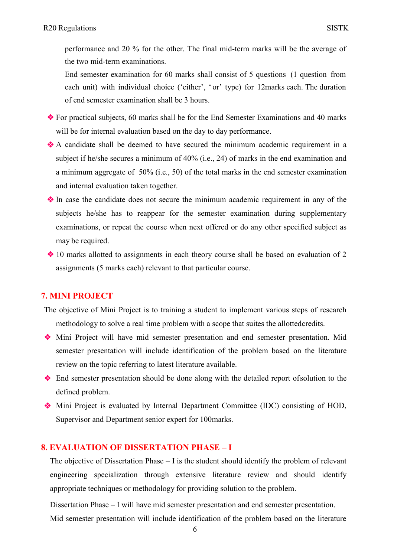performance and 20 % for the other. The final mid-term marks will be the average of the two mid-term examinations.

End semester examination for 60 marks shall consist of 5 questions (1 question from each unit) with individual choice ('either', 'or' type) for 12marks each. The duration of end semester examination shall be 3 hours.

- For practical subjects, 60 marks shall be for the End Semester Examinations and 40 marks will be for internal evaluation based on the day to day performance.
- A candidate shall be deemed to have secured the minimum academic requirement in a subject if he/she secures a minimum of 40% (i.e., 24) of marks in the end examination and a minimum aggregate of 50% (i.e., 50) of the total marks in the end semester examination and internal evaluation taken together.
- In case the candidate does not secure the minimum academic requirement in any of the subjects he/she has to reappear for the semester examination during supplementary examinations, or repeat the course when next offered or do any other specified subject as may be required.
- $\cdot$  10 marks allotted to assignments in each theory course shall be based on evaluation of 2 assignments (5 marks each) relevant to that particular course.

#### **7. MINI PROJECT**

- The objective of Mini Project is to training a student to implement various steps of research methodology to solve a real time problem with a scope that suites the allottedcredits.
- Mini Project will have mid semester presentation and end semester presentation. Mid semester presentation will include identification of the problem based on the literature review on the topic referring to latest literature available.
- End semester presentation should be done along with the detailed report ofsolution to the defined problem.
- Mini Project is evaluated by Internal Department Committee (IDC) consisting of HOD, Supervisor and Department senior expert for 100marks.

#### **8. EVALUATION OF DISSERTATION PHASE – I**

The objective of Dissertation Phase – I is the student should identify the problem of relevant engineering specialization through extensive literature review and should identify appropriate techniques or methodology for providing solution to the problem.

Dissertation Phase – I will have mid semester presentation and end semester presentation.

Mid semester presentation will include identification of the problem based on the literature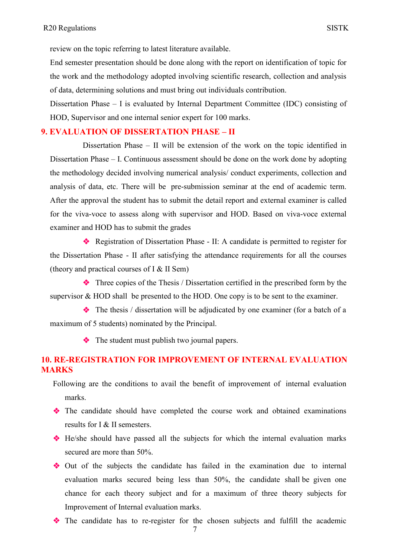review on the topic referring to latest literature available.

End semester presentation should be done along with the report on identification of topic for the work and the methodology adopted involving scientific research, collection and analysis of data, determining solutions and must bring out individuals contribution.

Dissertation Phase – I is evaluated by Internal Department Committee (IDC) consisting of HOD, Supervisor and one internal senior expert for 100 marks.

#### **9. EVALUATION OF DISSERTATION PHASE – II**

Dissertation Phase – II will be extension of the work on the topic identified in Dissertation Phase – I. Continuous assessment should be done on the work done by adopting the methodology decided involving numerical analysis/ conduct experiments, collection and analysis of data, etc. There will be pre-submission seminar at the end of academic term. After the approval the student has to submit the detail report and external examiner is called for the viva-voce to assess along with supervisor and HOD. Based on viva-voce external examiner and HOD has to submit the grades

 Registration of Dissertation Phase - II: A candidate is permitted to register for the Dissertation Phase - II after satisfying the attendance requirements for all the courses (theory and practical courses of I & II Sem)

 Three copies of the Thesis / Dissertation certified in the prescribed form by the supervisor  $\&$  HOD shall be presented to the HOD. One copy is to be sent to the examiner.

 $\triangle$  The thesis / dissertation will be adjudicated by one examiner (for a batch of a maximum of 5 students) nominated by the Principal.

The student must publish two journal papers.

### **10. RE-REGISTRATION FOR IMPROVEMENT OF INTERNAL EVALUATION MARKS**

Following are the conditions to avail the benefit of improvement of internal evaluation marks.

- The candidate should have completed the course work and obtained examinations results for I & II semesters.
- He/she should have passed all the subjects for which the internal evaluation marks secured are more than 50%.
- Out of the subjects the candidate has failed in the examination due to internal evaluation marks secured being less than 50%, the candidate shall be given one chance for each theory subject and for a maximum of three theory subjects for Improvement of Internal evaluation marks.
- The candidate has to re-register for the chosen subjects and fulfill the academic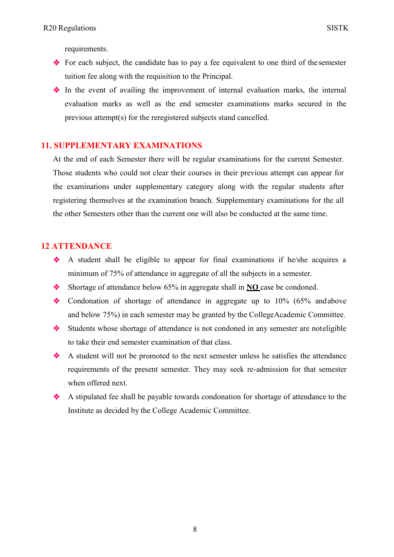requirements.

- For each subject, the candidate has to pay a fee equivalent to one third of the semester tuition fee along with the requisition to the Principal.
- In the event of availing the improvement of internal evaluation marks, the internal evaluation marks as well as the end semester examinations marks secured in the previous attempt(s) for the reregistered subjects stand cancelled.

### **11. SUPPLEMENTARY EXAMINATIONS**

At the end of each Semester there will be regular examinations for the current Semester. Those students who could not clear their courses in their previous attempt can appear for the examinations under supplementary category along with the regular students after registering themselves at the examination branch. Supplementary examinations for the all the other Semesters other than the current one will also be conducted at the same time.

#### **12 ATTENDANCE**

- A student shall be eligible to appear for final examinations if he/she acquires a minimum of 75% of attendance in aggregate of all the subjects in a semester.
- Shortage of attendance below 65% in aggregate shall in **NO** case be condoned.
- Condonation of shortage of attendance in aggregate up to 10% (65% and above and below 75%) in each semester may be granted by the CollegeAcademic Committee.
- Students whose shortage of attendance is not condoned in any semester are noteligible to take their end semester examination of that class.
- A student will not be promoted to the next semester unless he satisfies the attendance requirements of the present semester. They may seek re-admission for that semester when offered next.
- A stipulated fee shall be payable towards condonation for shortage of attendance to the Institute as decided by the College Academic Committee.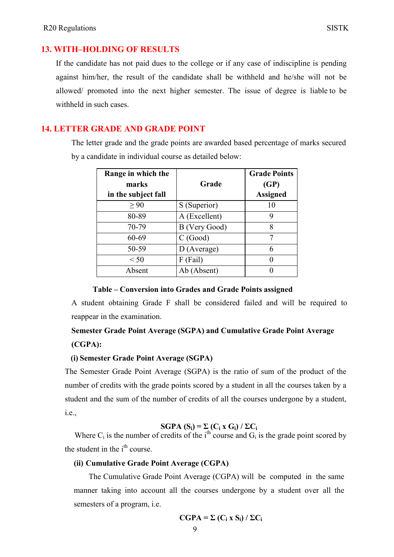#### **13. WITH–HOLDING OF RESULTS**

If the candidate has not paid dues to the college or if any case of indiscipline is pending against him/her, the result of the candidate shall be withheld and he/she will not be allowed/ promoted into the next higher semester. The issue of degree is liable to be withheld in such cases.

#### **14. LETTER GRADE AND GRADE POINT**

The letter grade and the grade points are awarded based percentage of marks secured by a candidate in individual course as detailed below:

| Range in which the<br>marks<br>in the subject fall | Grade         | <b>Grade Points</b><br>(GP)<br><b>Assigned</b> |
|----------------------------------------------------|---------------|------------------------------------------------|
| > 90                                               | S (Superior)  | 10                                             |
| 80-89                                              | A (Excellent) | 9                                              |
| 70-79                                              | B (Very Good) | 8                                              |
| 60-69                                              | C(Good)       | 7                                              |
| 50-59                                              | D (Average)   | 6                                              |
| < 50                                               | $F$ (Fail)    |                                                |
| Absent                                             | Ab (Absent)   |                                                |

#### **Table – Conversion into Grades and Grade Points assigned**

A student obtaining Grade F shall be considered failed and will be required to reappear in the examination.

# **Semester Grade Point Average (SGPA) and Cumulative Grade Point Average (CGPA):**

#### **(i) Semester Grade Point Average (SGPA)**

The Semester Grade Point Average (SGPA) is the ratio of sum of the product of the number of credits with the grade points scored by a student in all the courses taken by a student and the sum of the number of credits of all the courses undergone by a student, i.e.,

#### $SGPA(S_i) = \sum (C_i \times G_i) / \sum C_i$

Where C<sub>i</sub> is the number of credits of the i<sup>th</sup> course and G<sub>i</sub> is the grade point scored by the student in the  $i<sup>th</sup>$  course.

#### **(ii) Cumulative Grade Point Average (CGPA)**

The Cumulative Grade Point Average (CGPA) will be computed in the same manner taking into account all the courses undergone by a student over all the semesters of a program, i.e.

$$
CGPA = \Sigma (C_i \times S_i) / \Sigma C_i
$$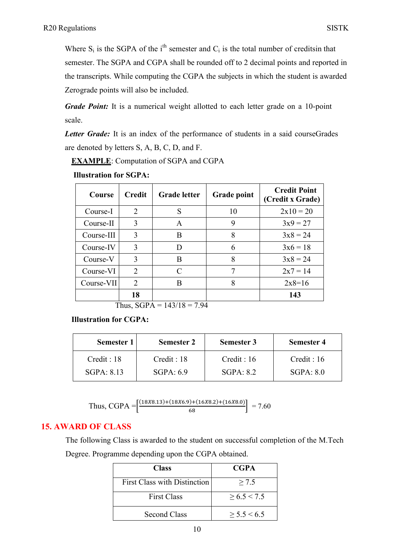Where  $S_i$  is the SGPA of the i<sup>th</sup> semester and  $C_i$  is the total number of creditsin that semester. The SGPA and CGPA shall be rounded off to 2 decimal points and reported in the transcripts. While computing the CGPA the subjects in which the student is awarded Zerograde points will also be included.

*Grade Point:* It is a numerical weight allotted to each letter grade on a 10-point scale.

*Letter Grade:* It is an index of the performance of students in a said courseGrades are denoted by letters S, A, B, C, D, and F.

**EXAMPLE**: Computation of SGPA and CGPA

| <b>Illustration for SGPA:</b> |
|-------------------------------|
|-------------------------------|

| Course     | <b>Credit</b>               | <b>Grade letter</b> | <b>Grade point</b> | <b>Credit Point</b><br>(Credit x Grade) |
|------------|-----------------------------|---------------------|--------------------|-----------------------------------------|
| Course-I   | $\mathcal{D}_{\mathcal{L}}$ | S                   | 10                 | $2x10 = 20$                             |
| Course-II  | 3                           | A                   | 9                  | $3x9 = 27$                              |
| Course-III | 3                           | B                   | 8                  | $3x8 = 24$                              |
| Course-IV  | 3                           | D                   | 6                  | $3x6 = 18$                              |
| Course-V   | 3                           | B                   | 8                  | $3x8 = 24$                              |
| Course-VI  | 2                           | C                   | 7                  | $2x7 = 14$                              |
| Course-VII | $\mathcal{D}_{\mathcal{L}}$ | B                   | 8                  | $2x8=16$                                |
|            | 18                          |                     |                    | 143                                     |

Thus,  $SGPA = 143/18 = 7.94$ 

**Illustration for CGPA:**

| Semester 1  | <b>Semester 2</b> | <b>Semester 3</b> | <b>Semester 4</b> |
|-------------|-------------------|-------------------|-------------------|
| Credit : 18 | Credit : 18       | Credit: 16        | Credit : 16       |
| SGPA: 8.13  | SGPA.69           | SGPA: 8.2         | SGPA.80           |

Thus, CGPA = 
$$
\left[\frac{(18X8.13) + (18X6.9) + (16X8.2) + (16X8.0)}{68}\right] = 7.60
$$

## **15. AWARD OF CLASS**

The following Class is awarded to the student on successful completion of the M.Tech Degree. Programme depending upon the CGPA obtained.

| <b>Class</b>                        | <b>CGPA</b> |
|-------------------------------------|-------------|
| <b>First Class with Distinction</b> | > 7.5       |
| <b>First Class</b>                  | > 6.5 < 7.5 |
| Second Class                        | > 5.5 < 6.5 |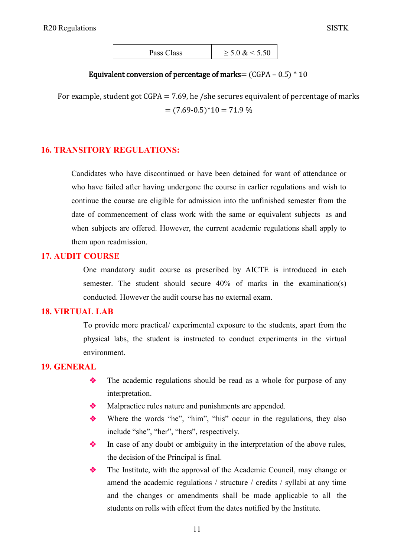| Pass Class | $\geq 5.0 \& 5.50$ |
|------------|--------------------|
|------------|--------------------|

#### Equivalent conversion of percentage of marks=  $(CGPA - 0.5) * 10$

For example, student got  $CGPA = 7.69$ , he /she secures equivalent of percentage of marks  $= (7.69-0.5)^*10 = 71.9\%$ 

#### **16. TRANSITORY REGULATIONS:**

Candidates who have discontinued or have been detained for want of attendance or who have failed after having undergone the course in earlier regulations and wish to continue the course are eligible for admission into the unfinished semester from the date of commencement of class work with the same or equivalent subjects as and when subjects are offered. However, the current academic regulations shall apply to them upon readmission.

#### **17. AUDIT COURSE**

One mandatory audit course as prescribed by AICTE is introduced in each semester. The student should secure 40% of marks in the examination(s) conducted. However the audit course has no external exam.

#### **18. VIRTUAL LAB**

To provide more practical/ experimental exposure to the students, apart from the physical labs, the student is instructed to conduct experiments in the virtual environment.

#### **19. GENERAL**

- The academic regulations should be read as a whole for purpose of any interpretation.
- Malpractice rules nature and punishments are appended.
- Where the words "he", "him", "his" occur in the regulations, they also include "she", "her", "hers", respectively.
- In case of any doubt or ambiguity in the interpretation of the above rules, the decision of the Principal is final.
- The Institute, with the approval of the Academic Council, may change or amend the academic regulations / structure / credits / syllabi at any time and the changes or amendments shall be made applicable to all the students on rolls with effect from the dates notified by the Institute.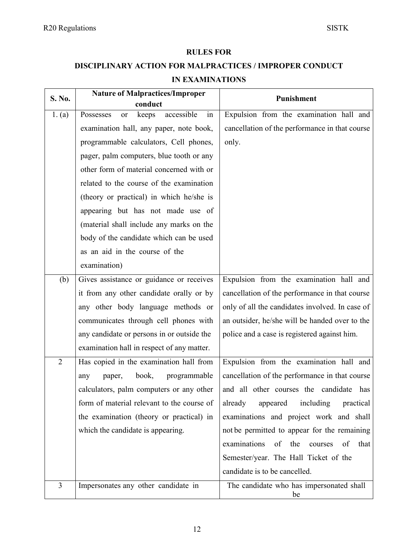#### **RULES FOR**

# **DISCIPLINARY ACTION FOR MALPRACTICES / IMPROPER CONDUCT**

### **IN EXAMINATIONS**

| S. No.         | <b>Nature of Malpractices/Improper</b>                  | Punishment                                         |
|----------------|---------------------------------------------------------|----------------------------------------------------|
| 1. (a)         | conduct<br>accessible<br>in<br>Possesses<br>keeps<br>or | Expulsion from the examination hall and            |
|                | examination hall, any paper, note book,                 | cancellation of the performance in that course     |
|                | programmable calculators, Cell phones,                  | only.                                              |
|                | pager, palm computers, blue tooth or any                |                                                    |
|                | other form of material concerned with or                |                                                    |
|                | related to the course of the examination                |                                                    |
|                | (theory or practical) in which he/she is                |                                                    |
|                | appearing but has not made use of                       |                                                    |
|                | (material shall include any marks on the                |                                                    |
|                | body of the candidate which can be used                 |                                                    |
|                | as an aid in the course of the                          |                                                    |
|                | examination)                                            |                                                    |
| (b)            | Gives assistance or guidance or receives                | Expulsion from the examination hall and            |
|                | it from any other candidate orally or by                | cancellation of the performance in that course     |
|                | any other body language methods or                      | only of all the candidates involved. In case of    |
|                | communicates through cell phones with                   | an outsider, he/she will be handed over to the     |
|                | any candidate or persons in or outside the              | police and a case is registered against him.       |
|                | examination hall in respect of any matter.              |                                                    |
| $\overline{2}$ | Has copied in the examination hall from                 | Expulsion from the examination hall and            |
|                | book,<br>programmable<br>paper,<br>any                  | cancellation of the performance in that course     |
|                | calculators, palm computers or any other                | and all other courses the candidate<br>has         |
|                | form of material relevant to the course of              | already<br>appeared<br>including<br>practical      |
|                | the examination (theory or practical) in                | examinations and project work and shall            |
|                | which the candidate is appearing.                       | not be permitted to appear for the remaining       |
|                |                                                         | examinations<br>the<br>of<br>of<br>that<br>courses |
|                |                                                         | Semester/year. The Hall Ticket of the              |
|                |                                                         | candidate is to be cancelled.                      |
| $\overline{3}$ | Impersonates any other candidate in                     | The candidate who has impersonated shall<br>be     |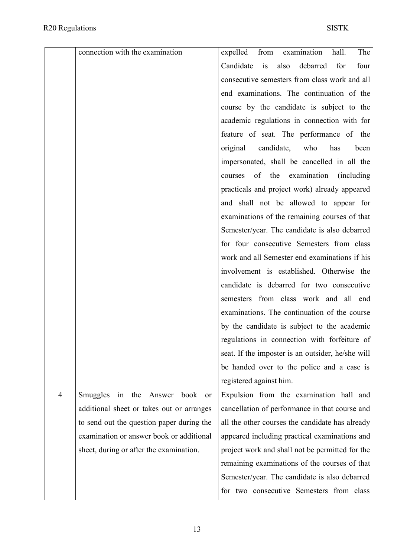|                | connection with the examination            | expelled from<br>examination<br>The<br>hall.       |
|----------------|--------------------------------------------|----------------------------------------------------|
|                |                                            | Candidate<br>also<br>debarred<br>four<br>is<br>for |
|                |                                            | consecutive semesters from class work and all      |
|                |                                            | end examinations. The continuation of the          |
|                |                                            | course by the candidate is subject to the          |
|                |                                            | academic regulations in connection with for        |
|                |                                            | feature of seat. The performance of the            |
|                |                                            | has<br>original<br>candidate,<br>who<br>been       |
|                |                                            | impersonated, shall be cancelled in all the        |
|                |                                            | of the<br>examination<br>(including)<br>courses    |
|                |                                            | practicals and project work) already appeared      |
|                |                                            | and shall not be allowed to appear for             |
|                |                                            | examinations of the remaining courses of that      |
|                |                                            | Semester/year. The candidate is also debarred      |
|                |                                            | for four consecutive Semesters from class          |
|                |                                            | work and all Semester end examinations if his      |
|                |                                            | involvement is established. Otherwise the          |
|                |                                            | candidate is debarred for two consecutive          |
|                |                                            | semesters from class work and all end              |
|                |                                            | examinations. The continuation of the course       |
|                |                                            | by the candidate is subject to the academic        |
|                |                                            | regulations in connection with forfeiture of       |
|                |                                            | seat. If the imposter is an outsider, he/she will  |
|                |                                            | be handed over to the police and a case is         |
|                |                                            | registered against him.                            |
| $\overline{4}$ | Smuggles<br>in<br>the Answer<br>book<br>or | Expulsion from the examination hall and            |
|                | additional sheet or takes out or arranges  | cancellation of performance in that course and     |
|                | to send out the question paper during the  | all the other courses the candidate has already    |
|                | examination or answer book or additional   | appeared including practical examinations and      |
|                | sheet, during or after the examination.    | project work and shall not be permitted for the    |
|                |                                            | remaining examinations of the courses of that      |
|                |                                            | Semester/year. The candidate is also debarred      |
|                |                                            | for two consecutive Semesters from class           |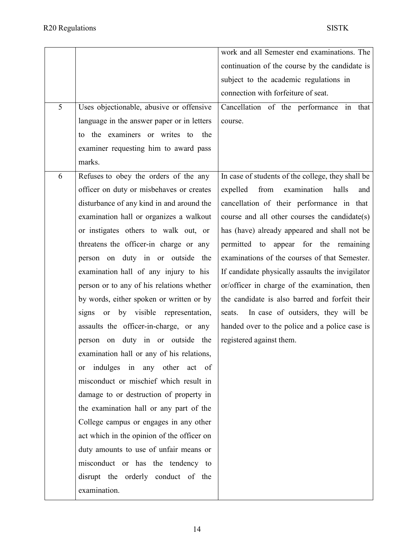|   |                                                  | work and all Semester end examinations. The       |
|---|--------------------------------------------------|---------------------------------------------------|
|   |                                                  | continuation of the course by the candidate is    |
|   |                                                  | subject to the academic regulations in            |
|   |                                                  | connection with forfeiture of seat.               |
| 5 | Uses objectionable, abusive or offensive         | Cancellation of the performance in that           |
|   | language in the answer paper or in letters       | course.                                           |
|   | to the examiners or writes to<br>the             |                                                   |
|   | examiner requesting him to award pass            |                                                   |
|   | marks.                                           |                                                   |
| 6 | Refuses to obey the orders of the any            | In case of students of the college, they shall be |
|   | officer on duty or misbehaves or creates         | examination<br>expelled<br>from<br>halls<br>and   |
|   | disturbance of any kind in and around the        | cancellation of their performance in that         |
|   | examination hall or organizes a walkout          | course and all other courses the candidate(s)     |
|   | or instigates others to walk out, or             | has (have) already appeared and shall not be      |
|   | threatens the officer-in charge or any           | permitted to<br>appear for the remaining          |
|   | person on duty in or outside the                 | examinations of the courses of that Semester.     |
|   | examination hall of any injury to his            | If candidate physically assaults the invigilator  |
|   | person or to any of his relations whether        | or/officer in charge of the examination, then     |
|   | by words, either spoken or written or by         | the candidate is also barred and forfeit their    |
|   | by visible representation,<br><b>or</b><br>signs | In case of outsiders, they will be<br>seats.      |
|   | assaults the officer-in-charge, or any           | handed over to the police and a police case is    |
|   | person on duty in or outside the                 | registered against them.                          |
|   | examination hall or any of his relations,        |                                                   |
|   | indulges in any other act of<br>or               |                                                   |
|   | misconduct or mischief which result in           |                                                   |
|   | damage to or destruction of property in          |                                                   |
|   | the examination hall or any part of the          |                                                   |
|   | College campus or engages in any other           |                                                   |
|   | act which in the opinion of the officer on       |                                                   |
|   | duty amounts to use of unfair means or           |                                                   |
|   | misconduct or has the tendency to                |                                                   |
|   | disrupt the orderly conduct of the               |                                                   |
|   | examination.                                     |                                                   |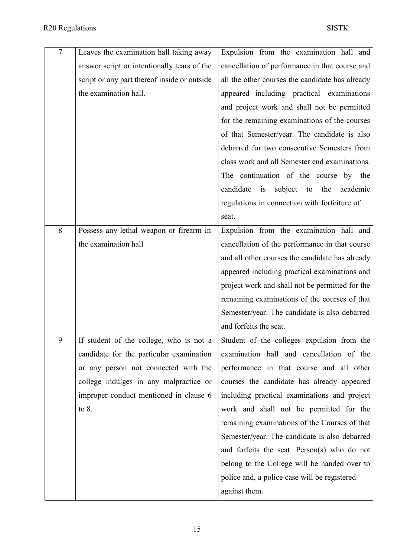| $\overline{7}$ | Leaves the examination hall taking away      | Expulsion from the examination hall and             |
|----------------|----------------------------------------------|-----------------------------------------------------|
|                | answer script or intentionally tears of the  | cancellation of performance in that course and      |
|                | script or any part thereof inside or outside | all the other courses the candidate has already     |
|                | the examination hall.                        | appeared including practical examinations           |
|                |                                              | and project work and shall not be permitted         |
|                |                                              | for the remaining examinations of the courses       |
|                |                                              | of that Semester/year. The candidate is also        |
|                |                                              | debarred for two consecutive Semesters from         |
|                |                                              | class work and all Semester end examinations.       |
|                |                                              | The continuation of the course by the               |
|                |                                              | candidate<br>is<br>subject<br>the<br>academic<br>to |
|                |                                              | regulations in connection with forfeiture of        |
|                |                                              | seat.                                               |
| 8              | Possess any lethal weapon or firearm in      | Expulsion from the examination hall and             |
|                | the examination hall                         | cancellation of the performance in that course      |
|                |                                              | and all other courses the candidate has already     |
|                |                                              | appeared including practical examinations and       |
|                |                                              | project work and shall not be permitted for the     |
|                |                                              | remaining examinations of the courses of that       |
|                |                                              | Semester/year. The candidate is also debarred       |
|                |                                              | and forfeits the seat.                              |
| 9              | If student of the college, who is not a      | Student of the colleges expulsion from the          |
|                | candidate for the particular examination     | examination hall and cancellation of the            |
|                | or any person not connected with the         | performance in that course and all other            |
|                | college indulges in any malpractice or       | courses the candidate has already appeared          |
|                | improper conduct mentioned in clause 6       | including practical examinations and project        |
|                | to $8.$                                      | work and shall not be permitted for the             |
|                |                                              | remaining examinations of the Courses of that       |
|                |                                              | Semester/year. The candidate is also debarred       |
|                |                                              | and forfeits the seat. Person(s) who do not         |
|                |                                              | belong to the College will be handed over to        |
|                |                                              | police and, a police case will be registered        |
|                |                                              | against them.                                       |